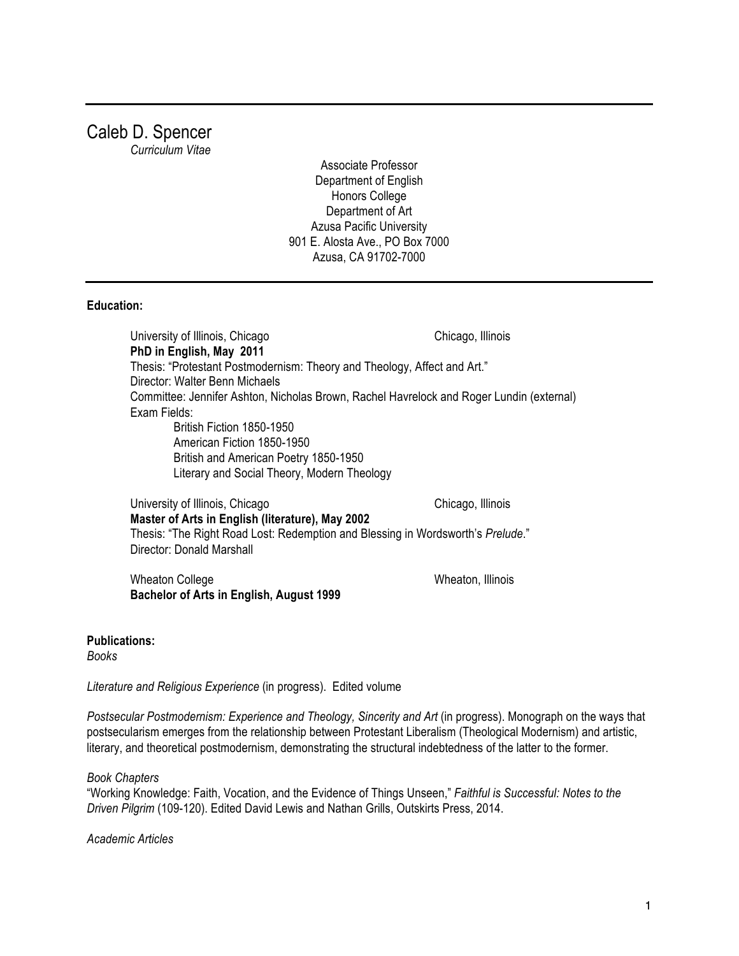# Caleb D. Spencer

*Curriculum Vitae*

Associate Professor Department of English Honors College Department of Art Azusa Pacific University 901 E. Alosta Ave., PO Box 7000 Azusa, CA 91702-7000

## **Education:**

University of Illinois, Chicago Chicago, Illinois **PhD in English, May 2011** Thesis: "Protestant Postmodernism: Theory and Theology, Affect and Art." Director: Walter Benn Michaels Committee: Jennifer Ashton, Nicholas Brown, Rachel Havrelock and Roger Lundin (external) Exam Fields: British Fiction 1850-1950 American Fiction 1850-1950 British and American Poetry 1850-1950 Literary and Social Theory, Modern Theology

University of Illinois, Chicago Chicago, Illinois **Master of Arts in English (literature), May 2002** Thesis: "The Right Road Lost: Redemption and Blessing in Wordsworth's *Prelude*." Director: Donald Marshall

Wheaton College **Wheaton, Illinois Bachelor of Arts in English, August 1999**

**Publications:**

*Books*

*Literature and Religious Experience* (in progress). Edited volume

*Postsecular Postmodernism: Experience and Theology, Sincerity and Art* (in progress). Monograph on the ways that postsecularism emerges from the relationship between Protestant Liberalism (Theological Modernism) and artistic, literary, and theoretical postmodernism, demonstrating the structural indebtedness of the latter to the former.

## *Book Chapters*

"Working Knowledge: Faith, Vocation, and the Evidence of Things Unseen," *Faithful is Successful: Notes to the Driven Pilgrim* (109-120). Edited David Lewis and Nathan Grills, Outskirts Press, 2014.

*Academic Articles*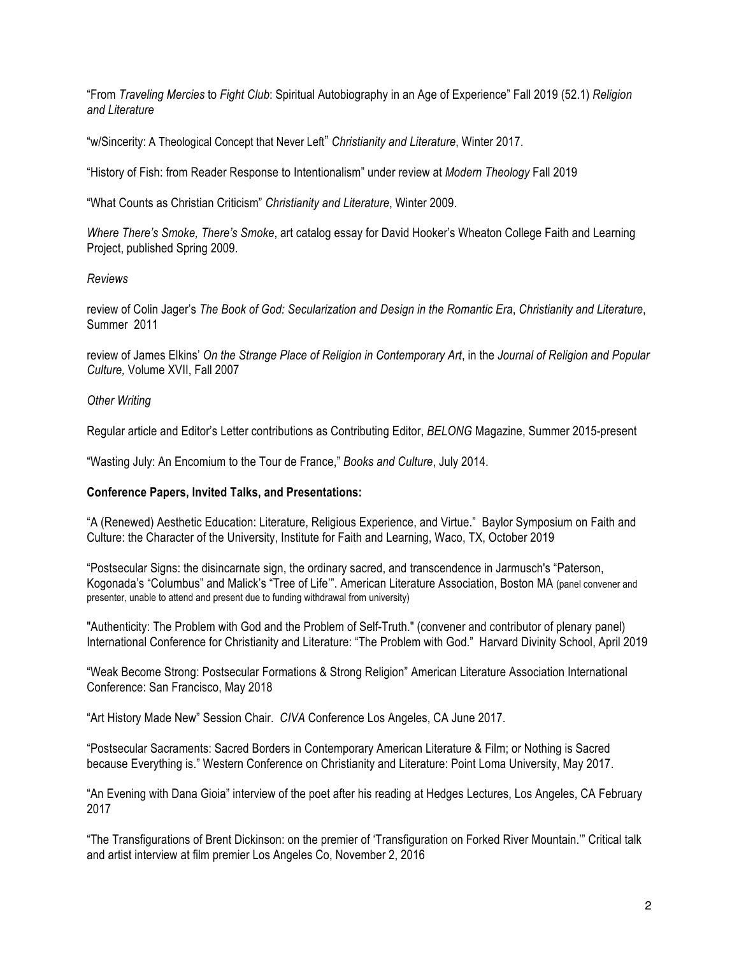"From *Traveling Mercies* to *Fight Club*: Spiritual Autobiography in an Age of Experience" Fall 2019 (52.1) *Religion and Literature*

"w/Sincerity: A Theological Concept that Never Left" *Christianity and Literature*, Winter 2017.

"History of Fish: from Reader Response to Intentionalism" under review at *Modern Theology* Fall 2019

"What Counts as Christian Criticism" *Christianity and Literature*, Winter 2009.

*Where There's Smoke, There's Smoke*, art catalog essay for David Hooker's Wheaton College Faith and Learning Project, published Spring 2009.

# *Reviews*

review of Colin Jager's *The Book of God: Secularization and Design in the Romantic Era*, *Christianity and Literature*, Summer 2011

review of James Elkins' *On the Strange Place of Religion in Contemporary Art*, in the *Journal of Religion and Popular Culture,* Volume XVII, Fall 2007

# *Other Writing*

Regular article and Editor's Letter contributions as Contributing Editor, *BELONG* Magazine, Summer 2015-present

"Wasting July: An Encomium to the Tour de France," *Books and Culture*, July 2014.

## **Conference Papers, Invited Talks, and Presentations:**

"A (Renewed) Aesthetic Education: Literature, Religious Experience, and Virtue." Baylor Symposium on Faith and Culture: the Character of the University, Institute for Faith and Learning, Waco, TX, October 2019

"Postsecular Signs: the disincarnate sign, the ordinary sacred, and transcendence in Jarmusch's "Paterson, Kogonada's "Columbus" and Malick's "Tree of Life'". American Literature Association, Boston MA (panel convener and presenter, unable to attend and present due to funding withdrawal from university)

"Authenticity: The Problem with God and the Problem of Self-Truth." (convener and contributor of plenary panel) International Conference for Christianity and Literature: "The Problem with God." Harvard Divinity School, April 2019

"Weak Become Strong: Postsecular Formations & Strong Religion" American Literature Association International Conference: San Francisco, May 2018

"Art History Made New" Session Chair. *CIVA* Conference Los Angeles, CA June 2017.

"Postsecular Sacraments: Sacred Borders in Contemporary American Literature & Film; or Nothing is Sacred because Everything is." Western Conference on Christianity and Literature: Point Loma University, May 2017.

"An Evening with Dana Gioia" interview of the poet after his reading at Hedges Lectures, Los Angeles, CA February 2017

"The Transfigurations of Brent Dickinson: on the premier of 'Transfiguration on Forked River Mountain.'" Critical talk and artist interview at film premier Los Angeles Co, November 2, 2016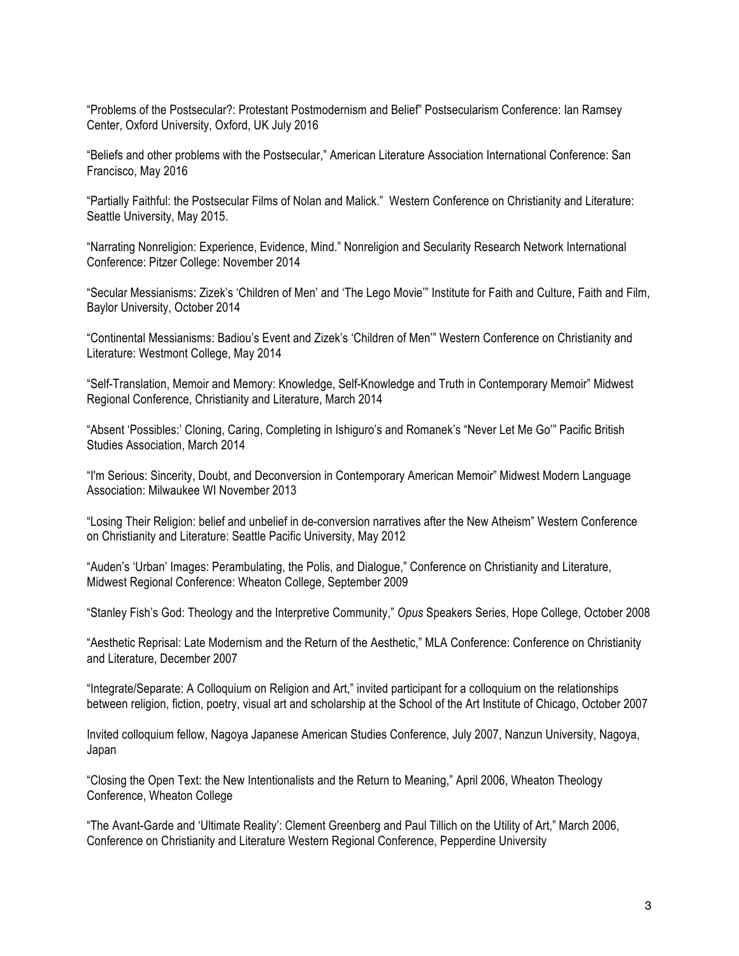"Problems of the Postsecular?: Protestant Postmodernism and Belief" Postsecularism Conference: Ian Ramsey Center, Oxford University, Oxford, UK July 2016

"Beliefs and other problems with the Postsecular," American Literature Association International Conference: San Francisco, May 2016

"Partially Faithful: the Postsecular Films of Nolan and Malick." Western Conference on Christianity and Literature: Seattle University, May 2015.

"Narrating Nonreligion: Experience, Evidence, Mind." Nonreligion and Secularity Research Network International Conference: Pitzer College: November 2014

"Secular Messianisms: Zizek's 'Children of Men' and 'The Lego Movie'" Institute for Faith and Culture, Faith and Film, Baylor University, October 2014

"Continental Messianisms: Badiou's Event and Zizek's 'Children of Men'" Western Conference on Christianity and Literature: Westmont College, May 2014

"Self-Translation, Memoir and Memory: Knowledge, Self-Knowledge and Truth in Contemporary Memoir" Midwest Regional Conference, Christianity and Literature, March 2014

"Absent 'Possibles:' Cloning, Caring, Completing in Ishiguro's and Romanek's "Never Let Me Go'" Pacific British Studies Association, March 2014

"I'm Serious: Sincerity, Doubt, and Deconversion in Contemporary American Memoir" Midwest Modern Language Association: Milwaukee WI November 2013

"Losing Their Religion: belief and unbelief in de-conversion narratives after the New Atheism" Western Conference on Christianity and Literature: Seattle Pacific University, May 2012

"Auden's 'Urban' Images: Perambulating, the Polis, and Dialogue," Conference on Christianity and Literature, Midwest Regional Conference: Wheaton College, September 2009

"Stanley Fish's God: Theology and the Interpretive Community," *Opus* Speakers Series, Hope College, October 2008

"Aesthetic Reprisal: Late Modernism and the Return of the Aesthetic," MLA Conference: Conference on Christianity and Literature, December 2007

"Integrate/Separate: A Colloquium on Religion and Art," invited participant for a colloquium on the relationships between religion, fiction, poetry, visual art and scholarship at the School of the Art Institute of Chicago, October 2007

Invited colloquium fellow, Nagoya Japanese American Studies Conference, July 2007, Nanzun University, Nagoya, Japan

"Closing the Open Text: the New Intentionalists and the Return to Meaning," April 2006, Wheaton Theology Conference, Wheaton College

"The Avant-Garde and 'Ultimate Reality': Clement Greenberg and Paul Tillich on the Utility of Art," March 2006, Conference on Christianity and Literature Western Regional Conference, Pepperdine University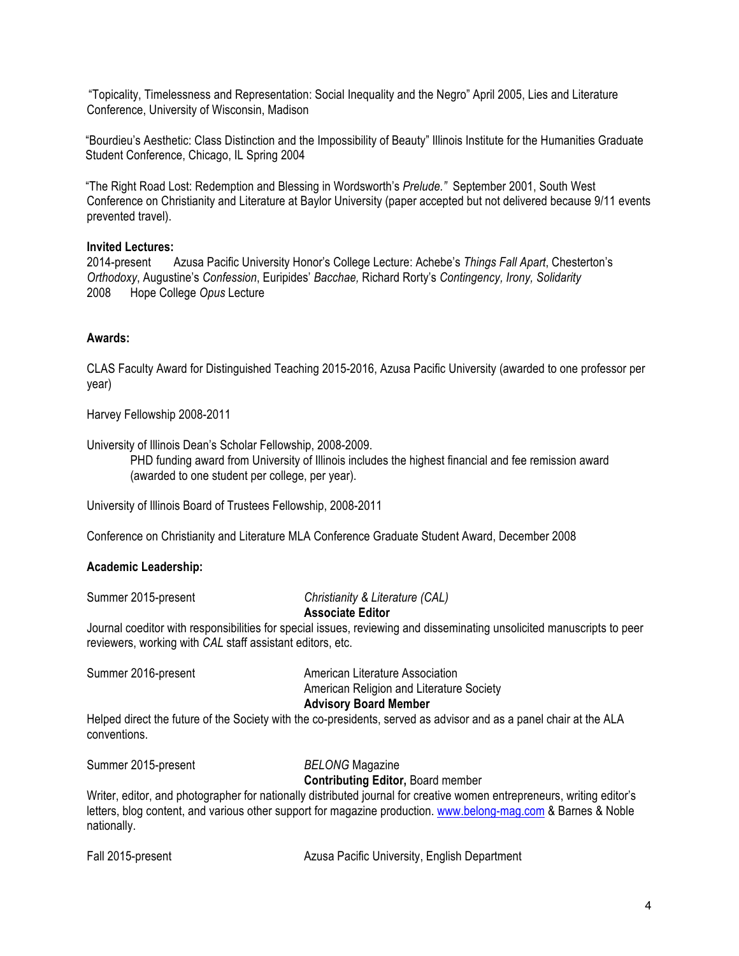"Topicality, Timelessness and Representation: Social Inequality and the Negro" April 2005, Lies and Literature Conference, University of Wisconsin, Madison

"Bourdieu's Aesthetic: Class Distinction and the Impossibility of Beauty" Illinois Institute for the Humanities Graduate Student Conference, Chicago, IL Spring 2004

"The Right Road Lost: Redemption and Blessing in Wordsworth's *Prelude."* September 2001, South West Conference on Christianity and Literature at Baylor University (paper accepted but not delivered because 9/11 events prevented travel).

## **Invited Lectures:**

2014-present Azusa Pacific University Honor's College Lecture: Achebe's *Things Fall Apart*, Chesterton's *Orthodoxy*, Augustine's *Confession*, Euripides' *Bacchae,* Richard Rorty's *Contingency, Irony, Solidarity* 2008 Hope College *Opus* Lecture

# **Awards:**

CLAS Faculty Award for Distinguished Teaching 2015-2016, Azusa Pacific University (awarded to one professor per year)

Harvey Fellowship 2008-2011

University of Illinois Dean's Scholar Fellowship, 2008-2009.

PHD funding award from University of Illinois includes the highest financial and fee remission award (awarded to one student per college, per year).

University of Illinois Board of Trustees Fellowship, 2008-2011

Conference on Christianity and Literature MLA Conference Graduate Student Award, December 2008

## **Academic Leadership:**

Summer 2015-present *Christianity & Literature (CAL)*

## **Associate Editor**

Journal coeditor with responsibilities for special issues, reviewing and disseminating unsolicited manuscripts to peer reviewers, working with *CAL* staff assistant editors, etc.

Summer 2016-present American Literature Association American Religion and Literature Society **Advisory Board Member** Helped direct the future of the Society with the co-presidents, served as advisor and as a panel chair at the ALA conventions.

Summer 2015-present *BELONG* Magazine

## **Contributing Editor,** Board member

Writer, editor, and photographer for nationally distributed journal for creative women entrepreneurs, writing editor's letters, blog content, and various other support for magazine production. www.belong-mag.com & Barnes & Noble nationally.

Fall 2015-present Azusa Pacific University, English Department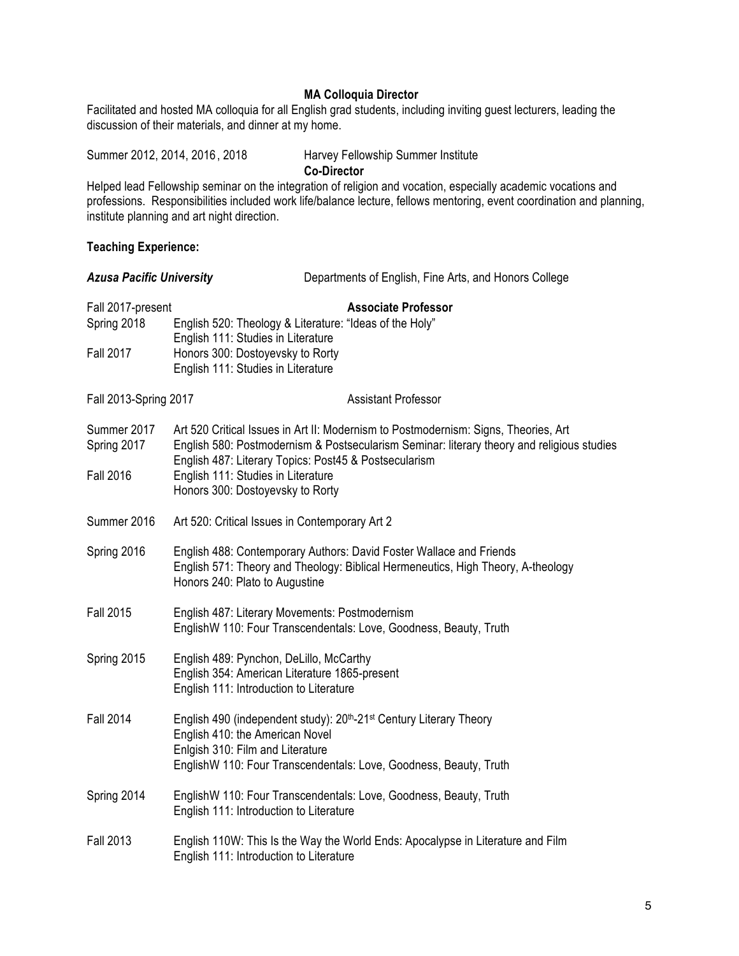# **MA Colloquia Director**

Facilitated and hosted MA colloquia for all English grad students, including inviting guest lecturers, leading the discussion of their materials, and dinner at my home.

Summer 2012, 2014, 2016, 2018 Harvey Fellowship Summer Institute **Co-Director**

Helped lead Fellowship seminar on the integration of religion and vocation, especially academic vocations and professions. Responsibilities included work life/balance lecture, fellows mentoring, event coordination and planning, institute planning and art night direction.

## **Teaching Experience:**

| <b>Azusa Pacific University</b>  |                                                                                                                                                                                                                                            | Departments of English, Fine Arts, and Honors College                                                                                                   |  |
|----------------------------------|--------------------------------------------------------------------------------------------------------------------------------------------------------------------------------------------------------------------------------------------|---------------------------------------------------------------------------------------------------------------------------------------------------------|--|
| Fall 2017-present<br>Spring 2018 | English 520: Theology & Literature: "Ideas of the Holy"<br>English 111: Studies in Literature                                                                                                                                              | <b>Associate Professor</b>                                                                                                                              |  |
| <b>Fall 2017</b>                 | Honors 300: Dostoyevsky to Rorty<br>English 111: Studies in Literature                                                                                                                                                                     |                                                                                                                                                         |  |
| Fall 2013-Spring 2017            |                                                                                                                                                                                                                                            | <b>Assistant Professor</b>                                                                                                                              |  |
| Summer 2017<br>Spring 2017       | Art 520 Critical Issues in Art II: Modernism to Postmodernism: Signs, Theories, Art<br>English 580: Postmodernism & Postsecularism Seminar: literary theory and religious studies<br>English 487: Literary Topics: Post45 & Postsecularism |                                                                                                                                                         |  |
| <b>Fall 2016</b>                 | English 111: Studies in Literature<br>Honors 300: Dostoyevsky to Rorty                                                                                                                                                                     |                                                                                                                                                         |  |
| Summer 2016                      | Art 520: Critical Issues in Contemporary Art 2                                                                                                                                                                                             |                                                                                                                                                         |  |
| Spring 2016                      | Honors 240: Plato to Augustine                                                                                                                                                                                                             | English 488: Contemporary Authors: David Foster Wallace and Friends<br>English 571: Theory and Theology: Biblical Hermeneutics, High Theory, A-theology |  |
| <b>Fall 2015</b>                 | English 487: Literary Movements: Postmodernism<br>EnglishW 110: Four Transcendentals: Love, Goodness, Beauty, Truth                                                                                                                        |                                                                                                                                                         |  |
| Spring 2015                      | English 489: Pynchon, DeLillo, McCarthy<br>English 354: American Literature 1865-present<br>English 111: Introduction to Literature                                                                                                        |                                                                                                                                                         |  |
| <b>Fall 2014</b>                 | English 490 (independent study): 20 <sup>th</sup> -21 <sup>st</sup> Century Literary Theory<br>English 410: the American Novel<br>Enlgish 310: Film and Literature<br>EnglishW 110: Four Transcendentals: Love, Goodness, Beauty, Truth    |                                                                                                                                                         |  |
| Spring 2014                      | EnglishW 110: Four Transcendentals: Love, Goodness, Beauty, Truth<br>English 111: Introduction to Literature                                                                                                                               |                                                                                                                                                         |  |
| <b>Fall 2013</b>                 | English 111: Introduction to Literature                                                                                                                                                                                                    | English 110W: This Is the Way the World Ends: Apocalypse in Literature and Film                                                                         |  |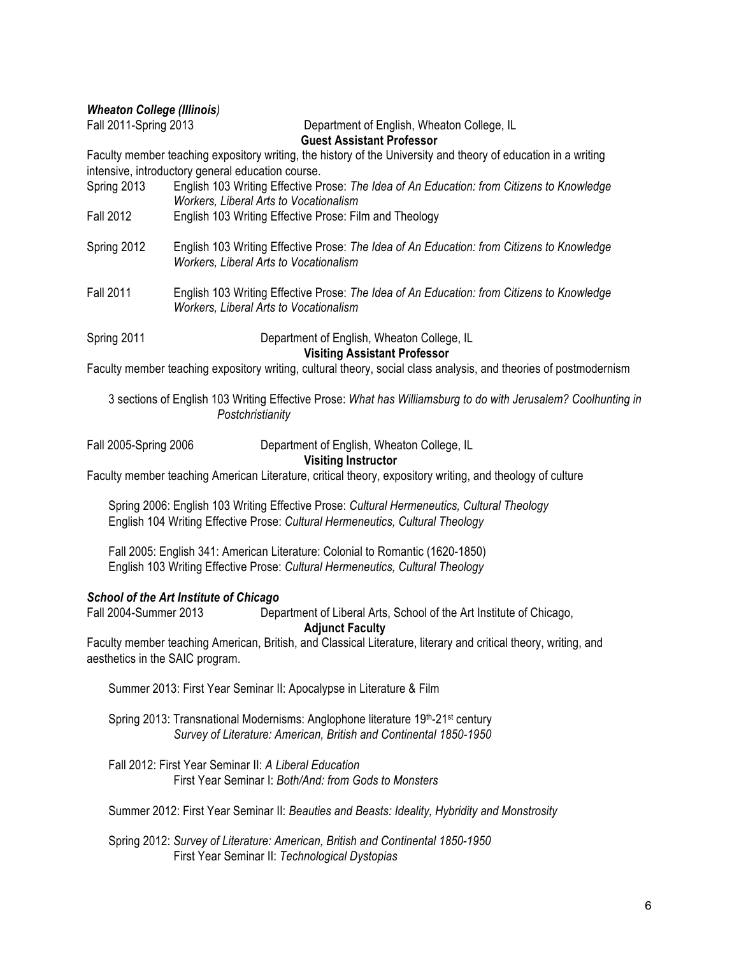*Wheaton College (Illinois)* 

Fall 2011-Spring 2013 Department of English, Wheaton College, IL

**Guest Assistant Professor**

Faculty member teaching expository writing, the history of the University and theory of education in a writing intensive, introductory general education course.

| Spring 2013      | English 103 Writing Effective Prose: The Idea of An Education: from Citizens to Knowledge<br><b>Workers, Liberal Arts to Vocationalism</b> |
|------------------|--------------------------------------------------------------------------------------------------------------------------------------------|
| <b>Fall 2012</b> | English 103 Writing Effective Prose: Film and Theology                                                                                     |
| Spring 2012      | English 103 Writing Effective Prose: The Idea of An Education: from Citizens to Knowledge<br><b>Workers, Liberal Arts to Vocationalism</b> |
| <b>Fall 2011</b> | English 103 Writing Effective Prose: The Idea of An Education: from Citizens to Knowledge<br><b>Workers, Liberal Arts to Vocationalism</b> |
| Spring 2011      | Department of English, Wheaton College, IL<br><b>Visiting Assistant Professor</b>                                                          |
|                  | Faculty member teaching expository writing, cultural theory, social class analysis, and theories of postmodernism                          |

3 sections of English 103 Writing Effective Prose: *What has Williamsburg to do with Jerusalem? Coolhunting in Postchristianity*

Fall 2005-Spring 2006 Department of English, Wheaton College, IL

## **Visiting Instructor**

Faculty member teaching American Literature, critical theory, expository writing, and theology of culture

Spring 2006: English 103 Writing Effective Prose: *Cultural Hermeneutics, Cultural Theology* English 104 Writing Effective Prose: *Cultural Hermeneutics, Cultural Theology*

Fall 2005: English 341: American Literature: Colonial to Romantic (1620-1850) English 103 Writing Effective Prose: *Cultural Hermeneutics, Cultural Theology*

## *School of the Art Institute of Chicago*

Fall 2004-Summer 2013 Department of Liberal Arts, School of the Art Institute of Chicago,

#### **Adjunct Faculty**

Faculty member teaching American, British, and Classical Literature, literary and critical theory, writing, and aesthetics in the SAIC program.

Summer 2013: First Year Seminar II: Apocalypse in Literature & Film

Spring 2013: Transnational Modernisms: Anglophone literature 19<sup>th</sup>-21<sup>st</sup> century *Survey of Literature: American, British and Continental 1850-1950*

Fall 2012: First Year Seminar II: *A Liberal Education* First Year Seminar I: *Both/And: from Gods to Monsters*

Summer 2012: First Year Seminar II: *Beauties and Beasts: Ideality, Hybridity and Monstrosity*

Spring 2012: *Survey of Literature: American, British and Continental 1850-1950* First Year Seminar II: *Technological Dystopias*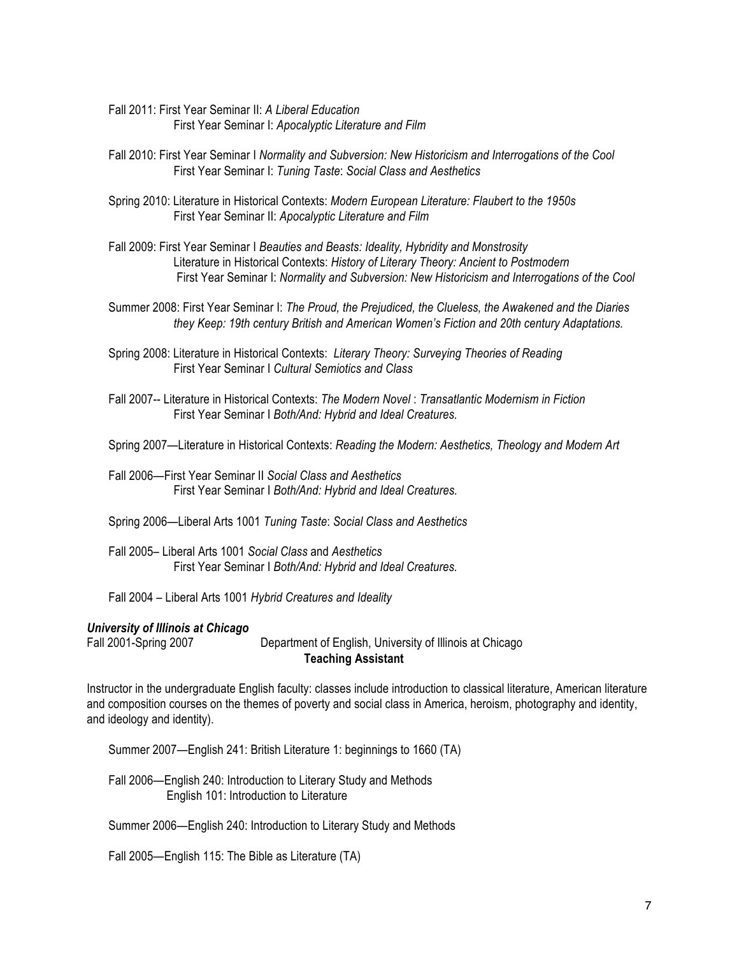- Fall 2011: First Year Seminar II: *A Liberal Education* First Year Seminar I: *Apocalyptic Literature and Film*
- Fall 2010: First Year Seminar I *Normality and Subversion: New Historicism and Interrogations of the Cool* First Year Seminar I: *Tuning Taste*: *Social Class and Aesthetics*
- Spring 2010: Literature in Historical Contexts: *Modern European Literature: Flaubert to the 1950s* First Year Seminar II: *Apocalyptic Literature and Film*
- Fall 2009: First Year Seminar I *Beauties and Beasts: Ideality, Hybridity and Monstrosity*  Literature in Historical Contexts: *History of Literary Theory: Ancient to Postmodern* First Year Seminar I: *Normality and Subversion: New Historicism and Interrogations of the Cool*
- Summer 2008: First Year Seminar I: *The Proud, the Prejudiced, the Clueless, the Awakened and the Diaries they Keep: 19th century British and American Women's Fiction and 20th century Adaptations.*
- Spring 2008: Literature in Historical Contexts: *Literary Theory: Surveying Theories of Reading*  First Year Seminar I *Cultural Semiotics and Class*
- Fall 2007-- Literature in Historical Contexts: *The Modern Novel* : *Transatlantic Modernism in Fiction* First Year Seminar I *Both/And: Hybrid and Ideal Creatures.*

Spring 2007—Literature in Historical Contexts: *Reading the Modern: Aesthetics, Theology and Modern Art*

Fall 2006—First Year Seminar II *Social Class and Aesthetics*  First Year Seminar I *Both/And: Hybrid and Ideal Creatures.*

Spring 2006—Liberal Arts 1001 *Tuning Taste*: *Social Class and Aesthetics* 

Fall 2005– Liberal Arts 1001 *Social Class* and *Aesthetics*  First Year Seminar I *Both/And: Hybrid and Ideal Creatures.*

Fall 2004 – Liberal Arts 1001 *Hybrid Creatures and Ideality*

#### *University of Illinois at Chicago*

Fall 2001-Spring 2007 Department of English, University of Illinois at Chicago **Teaching Assistant**

Instructor in the undergraduate English faculty: classes include introduction to classical literature, American literature and composition courses on the themes of poverty and social class in America, heroism, photography and identity, and ideology and identity).

Summer 2007—English 241: British Literature 1: beginnings to 1660 (TA)

Fall 2006—English 240: Introduction to Literary Study and Methods English 101: Introduction to Literature

Summer 2006—English 240: Introduction to Literary Study and Methods

Fall 2005—English 115: The Bible as Literature (TA)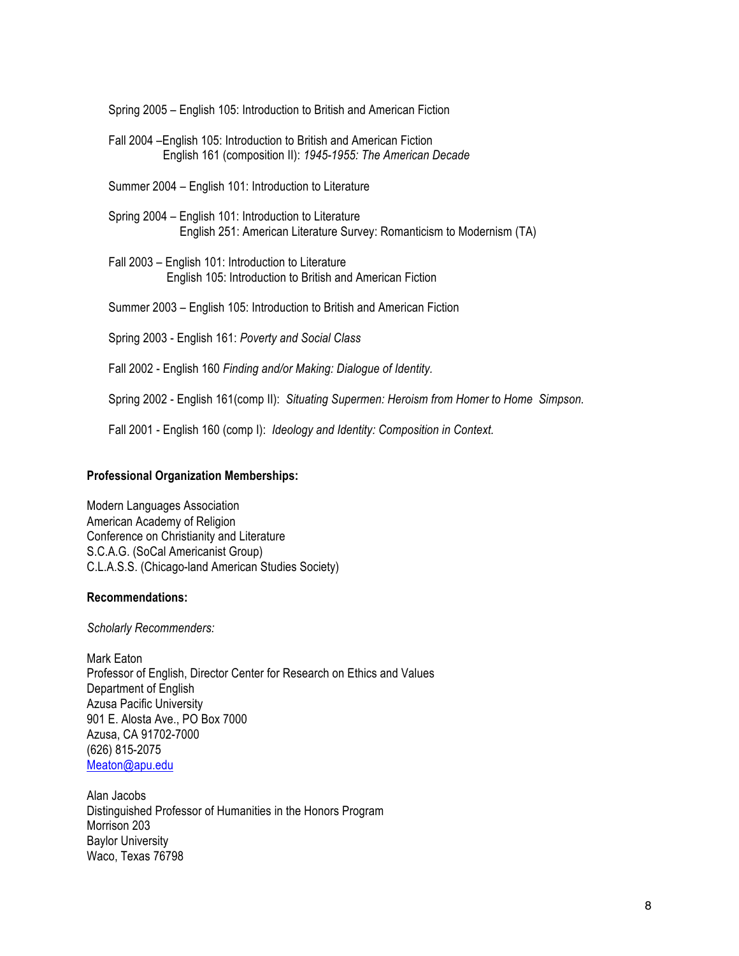Spring 2005 – English 105: Introduction to British and American Fiction

Fall 2004 –English 105: Introduction to British and American Fiction English 161 (composition II): *1945-1955: The American Decade*

Summer 2004 – English 101: Introduction to Literature

- Spring 2004 English 101: Introduction to Literature English 251: American Literature Survey: Romanticism to Modernism (TA)
- Fall 2003 English 101: Introduction to Literature English 105: Introduction to British and American Fiction

Summer 2003 – English 105: Introduction to British and American Fiction

Spring 2003 - English 161: *Poverty and Social Class*

Fall 2002 - English 160 *Finding and/or Making: Dialogue of Identity.*

Spring 2002 - English 161(comp II): *Situating Supermen: Heroism from Homer to Home Simpson.* 

Fall 2001 - English 160 (comp I): *Ideology and Identity: Composition in Context.* 

## **Professional Organization Memberships:**

Modern Languages Association American Academy of Religion Conference on Christianity and Literature S.C.A.G. (SoCal Americanist Group) C.L.A.S.S. (Chicago-land American Studies Society)

#### **Recommendations:**

*Scholarly Recommenders:*

Mark Eaton Professor of English, Director Center for Research on Ethics and Values Department of English Azusa Pacific University 901 E. Alosta Ave., PO Box 7000 Azusa, CA 91702-7000 (626) 815-2075 Meaton@apu.edu

Alan Jacobs Distinguished Professor of Humanities in the Honors Program Morrison 203 Baylor University Waco, Texas 76798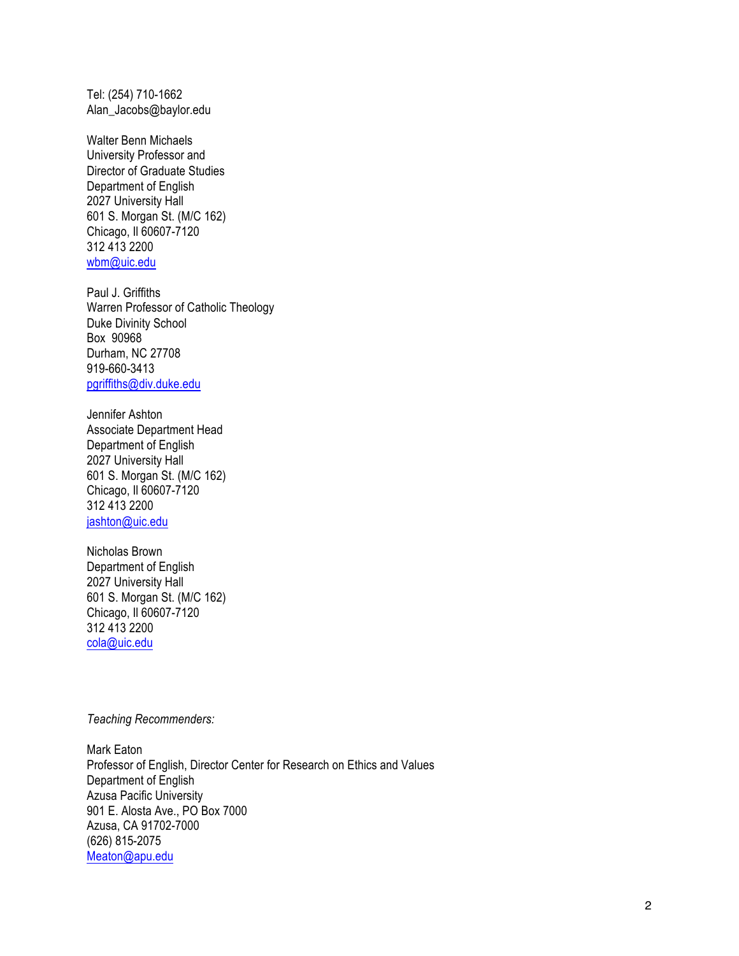Tel: (254) 710-1662 Alan\_Jacobs@baylor.edu

Walter Benn Michaels University Professor and Director of Graduate Studies Department of English 2027 University Hall 601 S. Morgan St. (M/C 162) Chicago, Il 60607-7120 312 413 2200 wbm@uic.edu

Paul J. Griffiths Warren Professor of Catholic Theology Duke Divinity School Box 90968 Durham, NC 27708 919-660-3413 pgriffiths@div.duke.edu

Jennifer Ashton Associate Department Head Department of English 2027 University Hall 601 S. Morgan St. (M/C 162) Chicago, Il 60607-7120 312 413 2200 jashton@uic.edu

Nicholas Brown Department of English 2027 University Hall 601 S. Morgan St. (M/C 162) Chicago, Il 60607-7120 312 413 2200 cola@uic.edu

*Teaching Recommenders:*

Mark Eaton Professor of English, Director Center for Research on Ethics and Values Department of English Azusa Pacific University 901 E. Alosta Ave., PO Box 7000 Azusa, CA 91702-7000 (626) 815-2075 Meaton@apu.edu